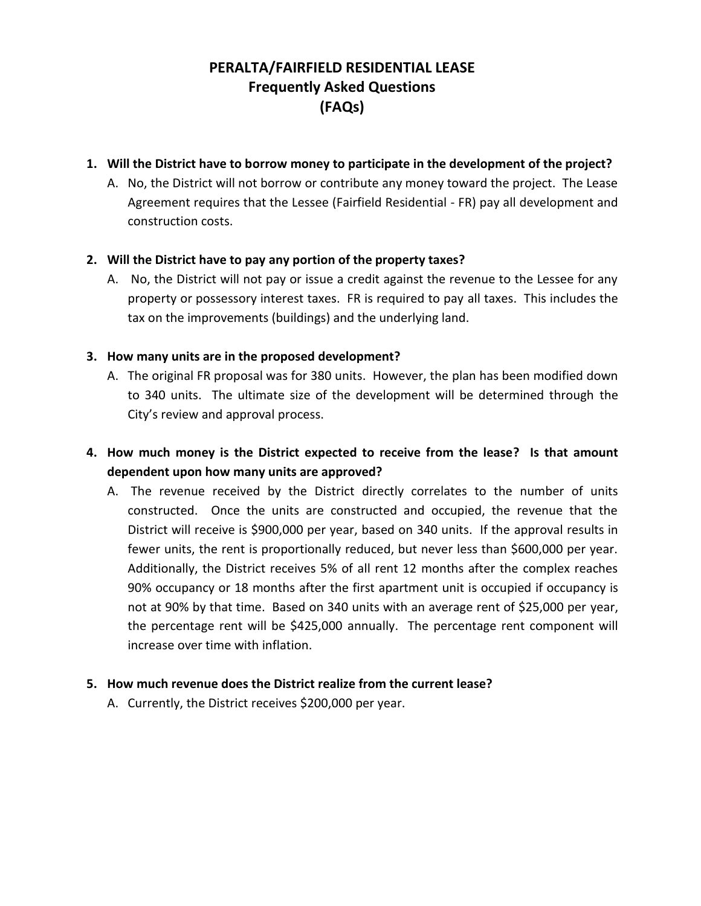# **PERALTA/FAIRFIELD RESIDENTIAL LEASE Frequently Asked Questions (FAQs)**

### **1. Will the District have to borrow money to participate in the development of the project?**

A. No, the District will not borrow or contribute any money toward the project. The Lease Agreement requires that the Lessee (Fairfield Residential - FR) pay all development and construction costs.

# **2. Will the District have to pay any portion of the property taxes?**

A. No, the District will not pay or issue a credit against the revenue to the Lessee for any property or possessory interest taxes. FR is required to pay all taxes. This includes the tax on the improvements (buildings) and the underlying land.

# **3. How many units are in the proposed development?**

A. The original FR proposal was for 380 units. However, the plan has been modified down to 340 units. The ultimate size of the development will be determined through the City's review and approval process.

# **4. How much money is the District expected to receive from the lease? Is that amount dependent upon how many units are approved?**

A. The revenue received by the District directly correlates to the number of units constructed. Once the units are constructed and occupied, the revenue that the District will receive is \$900,000 per year, based on 340 units. If the approval results in fewer units, the rent is proportionally reduced, but never less than \$600,000 per year. Additionally, the District receives 5% of all rent 12 months after the complex reaches 90% occupancy or 18 months after the first apartment unit is occupied if occupancy is not at 90% by that time. Based on 340 units with an average rent of \$25,000 per year, the percentage rent will be \$425,000 annually. The percentage rent component will increase over time with inflation.

### **5. How much revenue does the District realize from the current lease?**

A. Currently, the District receives \$200,000 per year.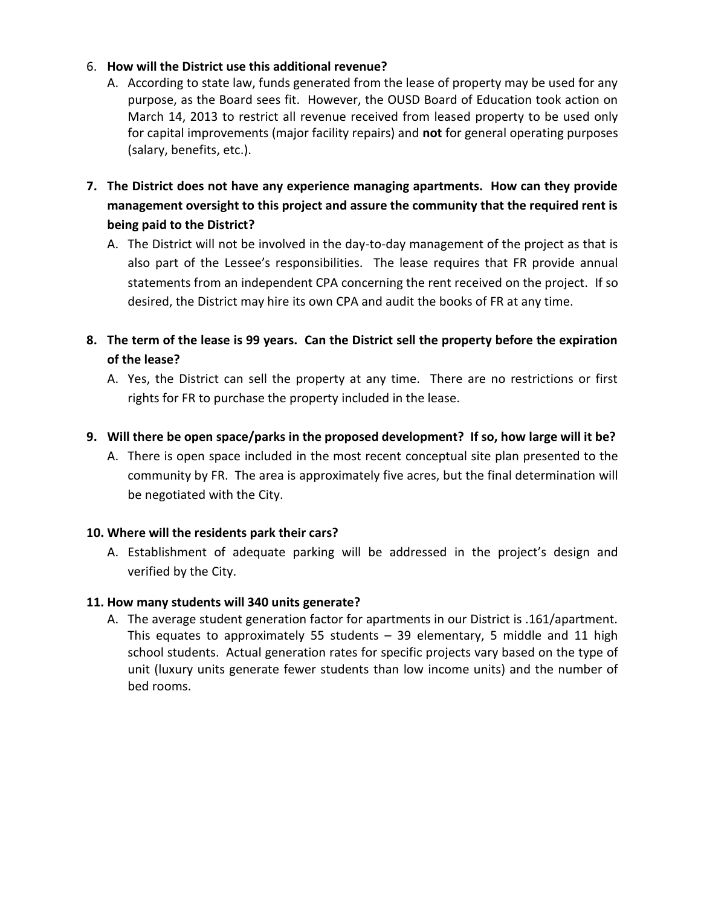### 6. **How will the District use this additional revenue?**

- A. According to state law, funds generated from the lease of property may be used for any purpose, as the Board sees fit. However, the OUSD Board of Education took action on March 14, 2013 to restrict all revenue received from leased property to be used only for capital improvements (major facility repairs) and **not** for general operating purposes (salary, benefits, etc.).
- **7. The District does not have any experience managing apartments. How can they provide management oversight to this project and assure the community that the required rent is being paid to the District?**
	- A. The District will not be involved in the day-to-day management of the project as that is also part of the Lessee's responsibilities. The lease requires that FR provide annual statements from an independent CPA concerning the rent received on the project. If so desired, the District may hire its own CPA and audit the books of FR at any time.
- **8. The term of the lease is 99 years. Can the District sell the property before the expiration of the lease?**
	- A. Yes, the District can sell the property at any time. There are no restrictions or first rights for FR to purchase the property included in the lease.
- **9. Will there be open space/parks in the proposed development? If so, how large will it be?**
	- A. There is open space included in the most recent conceptual site plan presented to the community by FR. The area is approximately five acres, but the final determination will be negotiated with the City.

### **10. Where will the residents park their cars?**

A. Establishment of adequate parking will be addressed in the project's design and verified by the City.

### **11. How many students will 340 units generate?**

A. The average student generation factor for apartments in our District is .161/apartment. This equates to approximately 55 students – 39 elementary, 5 middle and 11 high school students. Actual generation rates for specific projects vary based on the type of unit (luxury units generate fewer students than low income units) and the number of bed rooms.